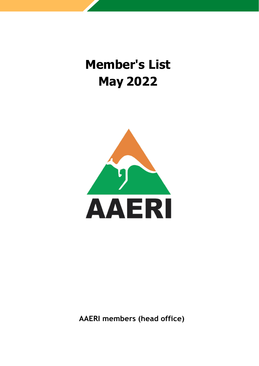### **Member's List May 2022**



**AAERI members (head office)**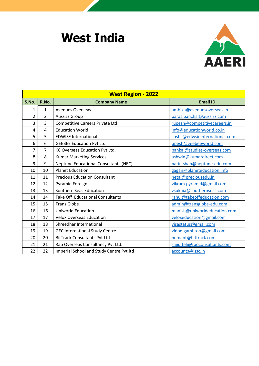# **West India**



| <b>West Region - 2022</b> |                |                                              |                                |
|---------------------------|----------------|----------------------------------------------|--------------------------------|
| S.No.                     | R.No.          | <b>Company Name</b>                          | <b>Email ID</b>                |
| 1                         | $\mathbf{1}$   | <b>Avenues Overseas</b>                      | ambika@avenuesoverseas.in      |
| $\overline{2}$            | $\overline{2}$ | <b>Aussizz Group</b>                         | paras.panchal@aussizz.com      |
| 3                         | 3              | <b>Competitive Careers Private Ltd</b>       | rupesh@competitivecareers.in   |
| 4                         | 4              | <b>Education World</b>                       | info@educationworld.co.in      |
| 5                         | 5              | <b>EDWISE International</b>                  | sushil@edwsieinternational.com |
| 6                         | 6              | <b>GEEBEE Education Pvt Ltd</b>              | upesh@geebeeworld.com          |
| $\overline{7}$            | $\overline{7}$ | KC Overseas Education Pvt Ltd.               | pankaj@studies-overseas.com    |
| 8                         | 8              | <b>Kumar Marketing Services</b>              | ashwin@kumardirect.com         |
| 9                         | 9              | <b>Neptune Educational Consultants (NEC)</b> | parin.shah@neptune-edu.com     |
| 10                        | 10             | <b>Planet Education</b>                      | gagan@planeteducation.info     |
| 11                        | 11             | <b>Precious Education Consultant</b>         | hetal@preciousedu.in           |
| 12                        | 12             | Pyramid Foreign                              | vikram.pyramid@gmail.com       |
| 13                        | 13             | Southern Seas Education                      | vsukhia@southernseas.com       |
| 14                        | 14             | <b>Take Off Educational Consultants</b>      | rahul@takeoffeducation.com     |
| 15                        | 15             | <b>Trans Globe</b>                           | admin@transglobe-edu.com       |
| 16                        | 16             | Uniworld Education                           | manish@uniworldeducation.com   |
| 17                        | 17             | <b>Velox Overseas Education</b>              | veloxeducation@gmail.com       |
| 18                        | 18             | Shreedhar International                      | visastatus@gmail.com           |
| 19                        | 19             | <b>GEC International Study Centre</b>        | vinod.gambtoo@gmail.com        |
| 20                        | 20             | <b>BitTrack Consultants Pvt Ltd</b>          | hemant@bittrack.com            |
| 21                        | 21             | Rao Overseas Consultancy Pvt Ltd.            | sajid.teli@raoconsultants.com  |
| 22                        | 22             | Imperial School and Study Centre Pvt.ltd     | accounts@issc.in               |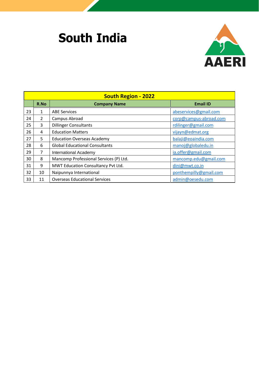# **South India**



| <b>South Region - 2022</b> |               |                                        |                        |
|----------------------------|---------------|----------------------------------------|------------------------|
|                            | R.No          | <b>Company Name</b>                    | <b>Email ID</b>        |
| 23                         | $\mathbf{1}$  | <b>ABE Services</b>                    | abeservices@gmail.com  |
| 24                         | $\mathcal{P}$ | Campus Abroad                          | corp@campus-abroad.com |
| 25                         | 3             | <b>Dillinger Consultants</b>           | rdilinger@gmail.com    |
| 26                         | 4             | <b>Education Matters</b>               | vijayn@edmat.org       |
| 27                         | 5             | <b>Education Overseas Academy</b>      | balaji@eoaindia.com    |
| 28                         | 6             | <b>Global Educational Consultants</b>  | manoj@globaledu.in     |
| 29                         | 7             | <b>International Academy</b>           | ia.offer@gmail.com     |
| 30                         | 8             | Mancomp Professional Services (P) Ltd. | mancomp.edu@gmail.com  |
| 31                         | 9             | MWT Education Consultancy Pvt Ltd.     | dini@mwt.co.in         |
| 32                         | 10            | Naipunnya International                | ponthempilly@gmail.com |
| 33                         | 11            | <b>Overseas Educational Services</b>   | admin@oesedu.com       |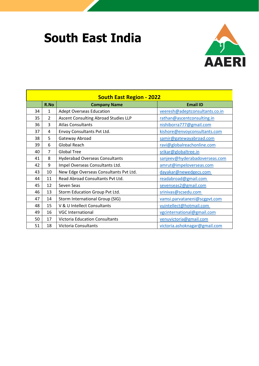### **South East India**



| <b>South East Region - 2022</b> |                |                                        |                                |
|---------------------------------|----------------|----------------------------------------|--------------------------------|
|                                 | R.No           | <b>Company Name</b>                    | <b>Email ID</b>                |
| 34                              | 1              | <b>Adept Overseas Education</b>        | veeresh@adeptconsultants.co.in |
| 35                              | $\overline{2}$ | Ascent Consulting Abroad Studies LLP   | rathan@ascentconsulting.in     |
| 36                              | 3              | <b>Atlas Consultants</b>               | nishiborra777@gmail.com        |
| 37                              | 4              | Envoy Consultants Pvt Ltd.             | kishore@envoyconsultants.com   |
| 38                              | 5              | Gateway Abroad                         | samir@gatewayabroad.com        |
| 39                              | 6              | <b>Global Reach</b>                    | ravi@globalreachonline.com     |
| 40                              | $\overline{7}$ | <b>Global Tree</b>                     | srikar@globaltree.in           |
| 41                              | 8              | <b>Hyderabad Overseas Consultants</b>  | sanjeev@hyderabadoverseas.com  |
| 42                              | 9              | Impel Overseas Consultants Ltd.        | amrut@impeloverseas.com        |
| 43                              | 10             | New Edge Overseas Consultants Pvt Ltd. | dayakar@newedgecs.com          |
| 44                              | 11             | Read Abroad Consultants Pvt Ltd.       | readabroad@gmail.com           |
| 45                              | 12             | Seven Seas                             | sevenseas2@gmail.com           |
| 46                              | 13             | Storm Education Group Pvt Ltd.         | srinivas@scsedu.com            |
| 47                              | 14             | Storm International Group (SIG)        | vamsi.parvataneni@scgpvt.com   |
| 48                              | 15             | V & U Intellect Consultants            | vuintellect@hotmail.com        |
| 49                              | 16             | <b>VGC International</b>               | vgcinternational@gmail.com     |
| 50                              | 17             | <b>Victoria Education Consultants</b>  | venuvictoria@gmail.com         |
| 51                              | 18             | Victoria Consultants                   | victoria.ashoknagar@gmail.com  |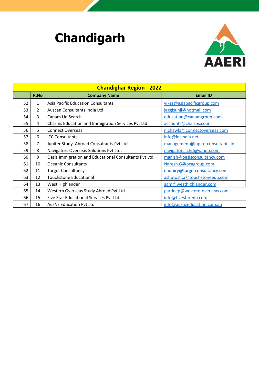# **Chandigarh**



| <b>Chandighar Region - 2022</b> |                |                                                        |                                  |
|---------------------------------|----------------|--------------------------------------------------------|----------------------------------|
|                                 | R.No           | <b>Company Name</b>                                    | <b>Email ID</b>                  |
| 52                              | 1              | <b>Asia Pacific Education Consultants</b>              | vikas@asiapacificgroup.com       |
| 53                              | $\overline{2}$ | Auscan Consultants India Ltd                           | jaggisunil@hotmail.com           |
| 54                              | 3              | Canam UniSearch                                        | education@canamgroup.com         |
| 55                              | 4              | Charms Education and Immigration Services Pvt Ltd      | accounts@charms.co.in            |
| 56                              | 5              | <b>Connect Overseas</b>                                | n.chawla@connectoverseas.com     |
| 57                              | 6              | <b>IEC Consultants</b>                                 | info@iecindia.net                |
| 58                              | $\overline{7}$ | Jupiter Study Abroad Consultants Pvt Ltd.              | management@jupiterconsultants.in |
| 59                              | 8              | Navigators Overseas Solutions Pvt Ltd.                 | navigators_chd@yahoo.com         |
| 60                              | 9              | Oasis Immigration and Educational Consultants Pvt Ltd. | manish@oasisconsultancy.com      |
| 61                              | 10             | <b>Oceanic Consultants</b>                             | Naresh.G@ocagroup.com            |
| 62                              | 11             | <b>Target Consultancy</b>                              | enquiry@targetconsultancy.com    |
| 63                              | 12             | <b>Touchstone Educational</b>                          | ashutosh.a@touchstoneedu.com     |
| 64                              | 13             | West Highlander                                        | agm@westhighlander.com           |
| 65                              | 14             | Western Overseas Study Abroad Pvt Ltd                  | pardeep@western-overseas.com     |
| 66                              | 15             | Five Star Educational Services Pvt Ltd                 | info@fivestaredu.com             |
| 67                              | 16             | <b>AusNz Education Pyt Ltd</b>                         | info@ausnzeducation.com.au       |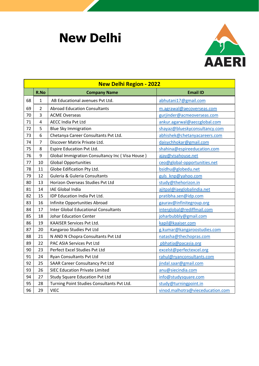#### **New Delhi**



| <b>New Delhi Region - 2022</b> |                |                                                 |                                  |
|--------------------------------|----------------|-------------------------------------------------|----------------------------------|
|                                | R.No           | <b>Company Name</b>                             | <b>Email ID</b>                  |
| 68                             | 1              | AB Educational avenues Pvt Ltd.                 | abhutani17@gmail.com             |
| 69                             | $\overline{2}$ | <b>Abroad Education Consultants</b>             | m.agrawal@aecoverseas.com        |
| 70                             | 3              | <b>ACME Overseas</b>                            | gurjinder@acmeoverseas.com       |
| 71                             | $\overline{4}$ | <b>AECC India Pvt Ltd</b>                       | ankur.agarwal@aeccglobal.com     |
| 72                             | 5              | <b>Blue Sky Immigration</b>                     | shayaz@blueskyconsultancy.com    |
| 73                             | 6              | Chetanya Career Consultants Pvt Ltd.            | abhishek@chetanyacareers.com     |
| 74                             | $\overline{7}$ | Discover Matrix Private Ltd.                    | daisychhokar@gmail.com           |
| 75                             | 8              | Espire Education Pvt Ltd.                       | shahina@espireeducation.com      |
| 76                             | 9              | Global Immigration Consultancy Inc (Visa House) | ajay@visahouse.net               |
| 77                             | 10             | <b>Global Opportunities</b>                     | ceo@global-opportunities.net     |
| 78                             | 11             | Globe Edification Pty Ltd.                      | bsidhu@globedu.net               |
| 79                             | 12             | Guleria & Guleria Consultants                   | guls knp@yahoo.com               |
| 80                             | 13             | Horizon Overseas Studies Pvt Ltd                | study@thehorizon.in              |
| 81                             | 14             | IAE Global India                                | ajitpal@iaeglobalindia.net       |
| 82                             | 15             | IDP Education India Pvt Ltd.                    | pratibha.sen@idp.com             |
| 83                             | 16             | Infinite Opportunities Abroad                   | gaurav@infinitegroup.org         |
| 84                             | 17             | <b>Inter Global Educational Consultants</b>     | interglobal@rediffmail.com       |
| 85                             | 18             | <b>Johar Education Center</b>                   | joharbubbly@gmail.com            |
| 86                             | 19             | KAAISER Services Pvt Ltd.                       | kapil@kaaiser.com                |
| 87                             | 20             | Kangaroo Studies Pvt Ltd                        | g.kumar@kangaroostudies.com      |
| 88                             | 21             | N AND N Chopra Consultants Pvt Ltd              | natasha@thechopras.com           |
| 89                             | 22             | PAC ASIA Services Pvt Ltd                       | pbhatia@pacasia.org              |
| 90                             | 23             | Perfect Excel Studies Pvt Ltd                   | excelst@perfectexcel.org         |
| 91                             | 24             | Ryan Consultants Pvt Ltd                        | rahul@ryanconsultants.com        |
| 92                             | 25             | <b>SAAR Career Consultancy Pvt Ltd</b>          | jindal.saar@gmail.com            |
| 93                             | 26             | <b>SIEC Education Private Limited</b>           | anu@siecindia.com                |
| 94                             | 27             | <b>Study Square Education Pvt Ltd</b>           | info@studysquare.com             |
| 95                             | 28             | Turning Point Studies Consultants Pvt Ltd.      | study@turningpoint.in            |
| 96                             | 29             | <b>VIEC</b>                                     | vinod.malhotra@vieceducation.com |